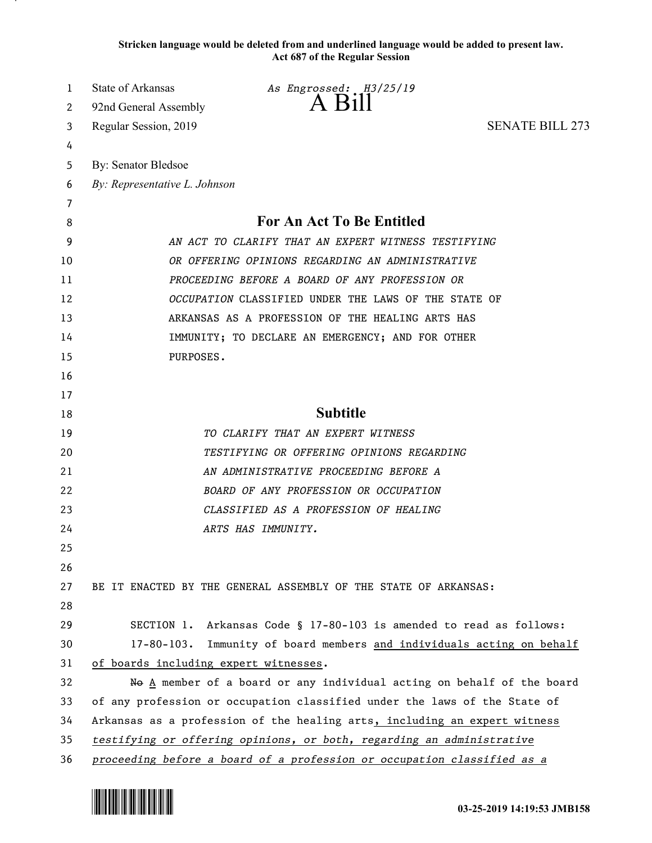**Stricken language would be deleted from and underlined language would be added to present law. Act 687 of the Regular Session**

| 1  | State of Arkansas<br>As Engrossed: H3/25/19<br>$\Delta$ $R_1$                   |
|----|---------------------------------------------------------------------------------|
| 2  | 92nd General Assembly                                                           |
| 3  | <b>SENATE BILL 273</b><br>Regular Session, 2019                                 |
| 4  |                                                                                 |
| 5  | By: Senator Bledsoe                                                             |
| 6  | By: Representative L. Johnson                                                   |
| 7  |                                                                                 |
| 8  | <b>For An Act To Be Entitled</b>                                                |
| 9  | AN ACT TO CLARIFY THAT AN EXPERT WITNESS TESTIFYING                             |
| 10 | OR OFFERING OPINIONS REGARDING AN ADMINISTRATIVE                                |
| 11 | PROCEEDING BEFORE A BOARD OF ANY PROFESSION OR                                  |
| 12 | OCCUPATION CLASSIFIED UNDER THE LAWS OF THE STATE OF                            |
| 13 | ARKANSAS AS A PROFESSION OF THE HEALING ARTS HAS                                |
| 14 | IMMUNITY; TO DECLARE AN EMERGENCY; AND FOR OTHER                                |
| 15 | PURPOSES.                                                                       |
| 16 |                                                                                 |
| 17 |                                                                                 |
| 18 | <b>Subtitle</b>                                                                 |
| 19 | TO CLARIFY THAT AN EXPERT WITNESS                                               |
| 20 | TESTIFYING OR OFFERING OPINIONS REGARDING                                       |
| 21 | AN ADMINISTRATIVE PROCEEDING BEFORE A                                           |
| 22 | BOARD OF ANY PROFESSION OR OCCUPATION                                           |
| 23 | CLASSIFIED AS A PROFESSION OF HEALING                                           |
| 24 | ARTS HAS IMMUNITY.                                                              |
| 25 |                                                                                 |
| 26 |                                                                                 |
| 27 | BE IT ENACTED BY THE GENERAL ASSEMBLY OF THE STATE OF ARKANSAS:                 |
| 28 |                                                                                 |
| 29 | SECTION 1. Arkansas Code § 17-80-103 is amended to read as follows:             |
| 30 | $17 - 80 - 103$ .<br>Immunity of board members and individuals acting on behalf |
| 31 | of boards including expert witnesses.                                           |
| 32 | No A member of a board or any individual acting on behalf of the board          |
| 33 | of any profession or occupation classified under the laws of the State of       |
| 34 | Arkansas as a profession of the healing arts, including an expert witness       |
| 35 | testifying or offering opinions, or both, regarding an administrative           |
| 36 | proceeding before a board of a profession or occupation classified as a         |

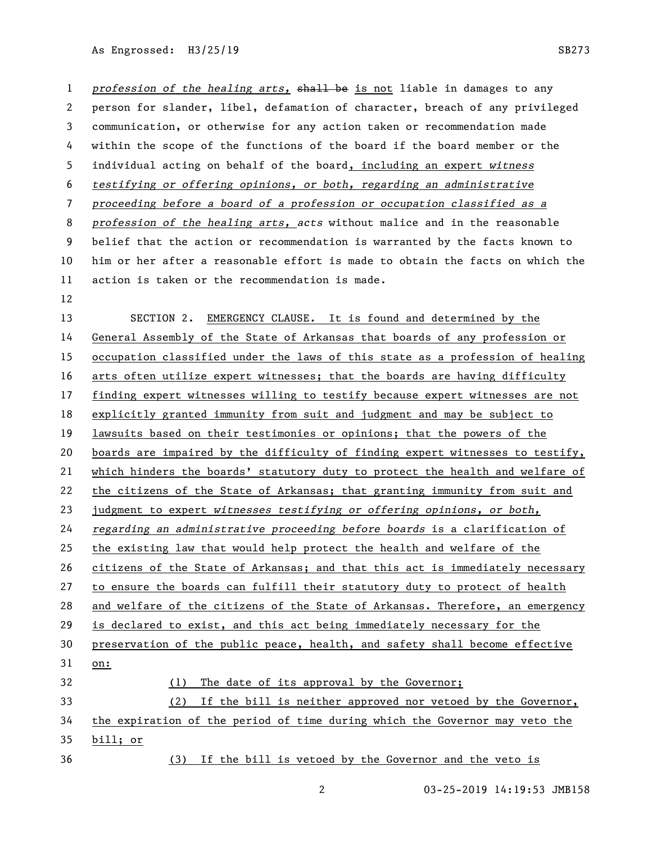As Engrossed: H3/25/19 SB273

*profession of the healing arts, shall be is not liable in damages to any*  person for slander, libel, defamation of character, breach of any privileged communication, or otherwise for any action taken or recommendation made within the scope of the functions of the board if the board member or the individual acting on behalf of the board, including an expert *witness testifying or offering opinions, or both, regarding an administrative proceeding before a board of a profession or occupation classified as a profession of the healing arts, acts* without malice and in the reasonable belief that the action or recommendation is warranted by the facts known to him or her after a reasonable effort is made to obtain the facts on which the action is taken or the recommendation is made. SECTION 2. EMERGENCY CLAUSE. It is found and determined by the General Assembly of the State of Arkansas that boards of any profession or occupation classified under the laws of this state as a profession of healing arts often utilize expert witnesses; that the boards are having difficulty finding expert witnesses willing to testify because expert witnesses are not explicitly granted immunity from suit and judgment and may be subject to lawsuits based on their testimonies or opinions; that the powers of the boards are impaired by the difficulty of finding expert witnesses to testify, which hinders the boards' statutory duty to protect the health and welfare of the citizens of the State of Arkansas; that granting immunity from suit and judgment to expert *witnesses testifying or offering opinions, or both, regarding an administrative proceeding before boards* is a clarification of the existing law that would help protect the health and welfare of the citizens of the State of Arkansas; and that this act is immediately necessary to ensure the boards can fulfill their statutory duty to protect of health and welfare of the citizens of the State of Arkansas. Therefore, an emergency is declared to exist, and this act being immediately necessary for the preservation of the public peace, health, and safety shall become effective on: (1) The date of its approval by the Governor; (2) If the bill is neither approved nor vetoed by the Governor, the expiration of the period of time during which the Governor may veto the bill; or (3) If the bill is vetoed by the Governor and the veto is

03-25-2019 14:19:53 JMB158